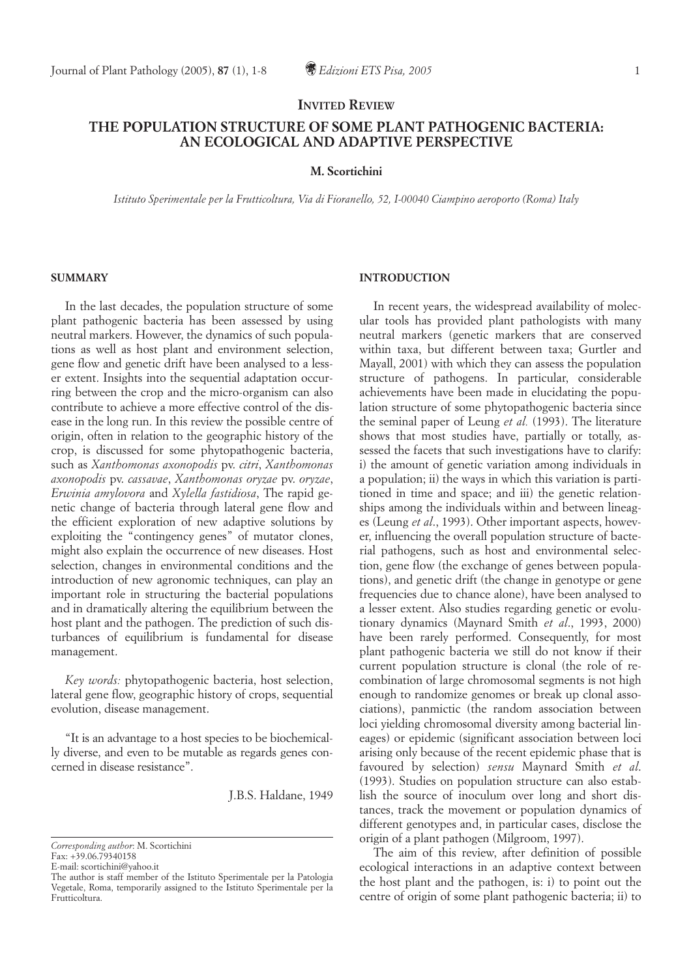# **INVITED REVIEW**

# **THE POPULATION STRUCTURE OF SOME PLANT PATHOGENIC BACTERIA: AN ECOLOGICAL AND ADAPTIVE PERSPECTIVE**

### **M. Scortichini**

*Istituto Sperimentale per la Frutticoltura, Via di Fioranello, 52, I-00040 Ciampino aeroporto (Roma) Italy*

### **SUMMARY**

In the last decades, the population structure of some plant pathogenic bacteria has been assessed by using neutral markers. However, the dynamics of such populations as well as host plant and environment selection, gene flow and genetic drift have been analysed to a lesser extent. Insights into the sequential adaptation occurring between the crop and the micro-organism can also contribute to achieve a more effective control of the disease in the long run. In this review the possible centre of origin, often in relation to the geographic history of the crop, is discussed for some phytopathogenic bacteria, such as *Xanthomonas axonopodis* pv. *citri*, *Xanthomonas axonopodis* pv. *cassavae*, *Xanthomonas oryzae* pv. *oryzae*, *Erwinia amylovora* and *Xylella fastidiosa*, The rapid genetic change of bacteria through lateral gene flow and the efficient exploration of new adaptive solutions by exploiting the "contingency genes" of mutator clones, might also explain the occurrence of new diseases. Host selection, changes in environmental conditions and the introduction of new agronomic techniques, can play an important role in structuring the bacterial populations and in dramatically altering the equilibrium between the host plant and the pathogen. The prediction of such disturbances of equilibrium is fundamental for disease management.

*Key words:* phytopathogenic bacteria, host selection, lateral gene flow, geographic history of crops, sequential evolution, disease management.

"It is an advantage to a host species to be biochemically diverse, and even to be mutable as regards genes concerned in disease resistance".

J.B.S. Haldane, 1949

Fax: +39.06.79340158

E-mail: scortichini@yahoo.it

### **INTRODUCTION**

In recent years, the widespread availability of molecular tools has provided plant pathologists with many neutral markers (genetic markers that are conserved within taxa, but different between taxa; Gurtler and Mayall, 2001) with which they can assess the population structure of pathogens. In particular, considerable achievements have been made in elucidating the population structure of some phytopathogenic bacteria since the seminal paper of Leung *et al.* (1993). The literature shows that most studies have, partially or totally, assessed the facets that such investigations have to clarify: i) the amount of genetic variation among individuals in a population; ii) the ways in which this variation is partitioned in time and space; and iii) the genetic relationships among the individuals within and between lineages (Leung *et al*., 1993). Other important aspects, however, influencing the overall population structure of bacterial pathogens, such as host and environmental selection, gene flow (the exchange of genes between populations), and genetic drift (the change in genotype or gene frequencies due to chance alone), have been analysed to a lesser extent. Also studies regarding genetic or evolutionary dynamics (Maynard Smith *et al*., 1993, 2000) have been rarely performed. Consequently, for most plant pathogenic bacteria we still do not know if their current population structure is clonal (the role of recombination of large chromosomal segments is not high enough to randomize genomes or break up clonal associations), panmictic (the random association between loci yielding chromosomal diversity among bacterial lineages) or epidemic (significant association between loci arising only because of the recent epidemic phase that is favoured by selection) *sensu* Maynard Smith *et al*. (1993). Studies on population structure can also establish the source of inoculum over long and short distances, track the movement or population dynamics of different genotypes and, in particular cases, disclose the origin of a plant pathogen (Milgroom, 1997).

The aim of this review, after definition of possible ecological interactions in an adaptive context between the host plant and the pathogen, is: i) to point out the centre of origin of some plant pathogenic bacteria; ii) to

*Corresponding author*: M. Scortichini

The author is staff member of the Istituto Sperimentale per la Patologia Vegetale, Roma, temporarily assigned to the Istituto Sperimentale per la Frutticoltura.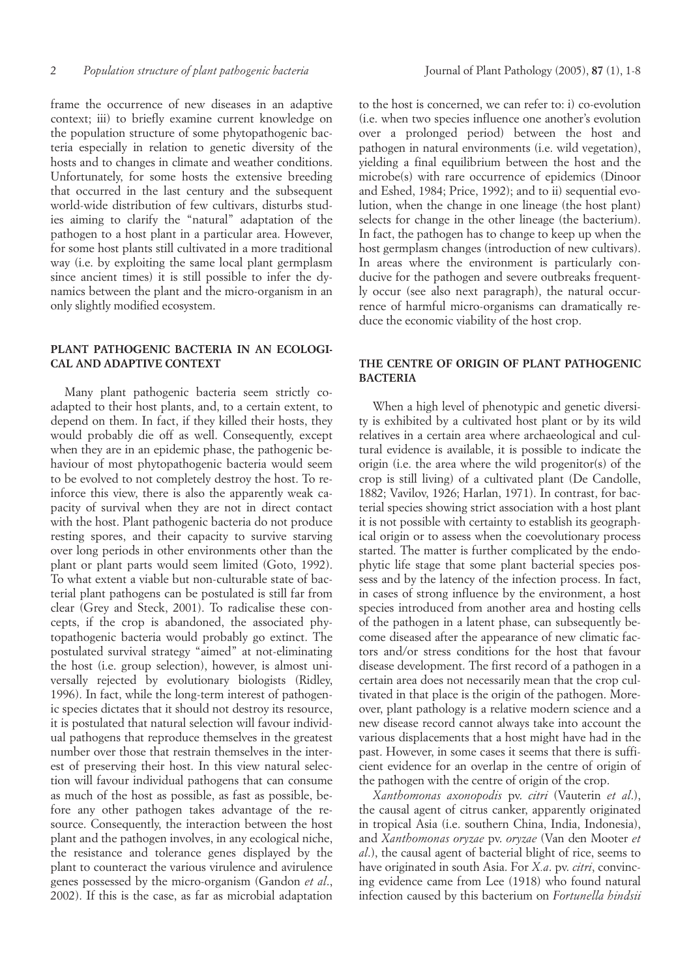frame the occurrence of new diseases in an adaptive context; iii) to briefly examine current knowledge on the population structure of some phytopathogenic bacteria especially in relation to genetic diversity of the hosts and to changes in climate and weather conditions. Unfortunately, for some hosts the extensive breeding that occurred in the last century and the subsequent world-wide distribution of few cultivars, disturbs studies aiming to clarify the "natural" adaptation of the pathogen to a host plant in a particular area. However, for some host plants still cultivated in a more traditional way (i.e. by exploiting the same local plant germplasm since ancient times) it is still possible to infer the dynamics between the plant and the micro-organism in an only slightly modified ecosystem.

# **PLANT PATHOGENIC BACTERIA IN AN ECOLOGI-CAL AND ADAPTIVE CONTEXT**

Many plant pathogenic bacteria seem strictly coadapted to their host plants, and, to a certain extent, to depend on them. In fact, if they killed their hosts, they would probably die off as well. Consequently, except when they are in an epidemic phase, the pathogenic behaviour of most phytopathogenic bacteria would seem to be evolved to not completely destroy the host. To reinforce this view, there is also the apparently weak capacity of survival when they are not in direct contact with the host. Plant pathogenic bacteria do not produce resting spores, and their capacity to survive starving over long periods in other environments other than the plant or plant parts would seem limited (Goto, 1992). To what extent a viable but non-culturable state of bacterial plant pathogens can be postulated is still far from clear (Grey and Steck, 2001). To radicalise these concepts, if the crop is abandoned, the associated phytopathogenic bacteria would probably go extinct. The postulated survival strategy "aimed" at not-eliminating the host (i.e. group selection), however, is almost universally rejected by evolutionary biologists (Ridley, 1996). In fact, while the long-term interest of pathogenic species dictates that it should not destroy its resource, it is postulated that natural selection will favour individual pathogens that reproduce themselves in the greatest number over those that restrain themselves in the interest of preserving their host. In this view natural selection will favour individual pathogens that can consume as much of the host as possible, as fast as possible, before any other pathogen takes advantage of the resource. Consequently, the interaction between the host plant and the pathogen involves, in any ecological niche, the resistance and tolerance genes displayed by the plant to counteract the various virulence and avirulence genes possessed by the micro-organism (Gandon *et al*., 2002). If this is the case, as far as microbial adaptation to the host is concerned, we can refer to: i) co-evolution (i.e. when two species influence one another's evolution over a prolonged period) between the host and pathogen in natural environments (i.e. wild vegetation), yielding a final equilibrium between the host and the microbe(s) with rare occurrence of epidemics (Dinoor and Eshed, 1984; Price, 1992); and to ii) sequential evolution, when the change in one lineage (the host plant) selects for change in the other lineage (the bacterium). In fact, the pathogen has to change to keep up when the host germplasm changes (introduction of new cultivars). In areas where the environment is particularly conducive for the pathogen and severe outbreaks frequently occur (see also next paragraph), the natural occurrence of harmful micro-organisms can dramatically reduce the economic viability of the host crop.

# **THE CENTRE OF ORIGIN OF PLANT PATHOGENIC BACTERIA**

When a high level of phenotypic and genetic diversity is exhibited by a cultivated host plant or by its wild relatives in a certain area where archaeological and cultural evidence is available, it is possible to indicate the origin (i.e. the area where the wild progenitor(s) of the crop is still living) of a cultivated plant (De Candolle, 1882; Vavilov, 1926; Harlan, 1971). In contrast, for bacterial species showing strict association with a host plant it is not possible with certainty to establish its geographical origin or to assess when the coevolutionary process started. The matter is further complicated by the endophytic life stage that some plant bacterial species possess and by the latency of the infection process. In fact, in cases of strong influence by the environment, a host species introduced from another area and hosting cells of the pathogen in a latent phase, can subsequently become diseased after the appearance of new climatic factors and/or stress conditions for the host that favour disease development. The first record of a pathogen in a certain area does not necessarily mean that the crop cultivated in that place is the origin of the pathogen. Moreover, plant pathology is a relative modern science and a new disease record cannot always take into account the various displacements that a host might have had in the past. However, in some cases it seems that there is sufficient evidence for an overlap in the centre of origin of the pathogen with the centre of origin of the crop.

*Xanthomonas axonopodis* pv. *citri* (Vauterin *et al*.), the causal agent of citrus canker, apparently originated in tropical Asia (i.e. southern China, India, Indonesia), and *Xanthomonas oryzae* pv. *oryzae* (Van den Mooter *et al*.), the causal agent of bacterial blight of rice, seems to have originated in south Asia. For *X.a*. pv. *citri*, convincing evidence came from Lee (1918) who found natural infection caused by this bacterium on *Fortunella hindsii*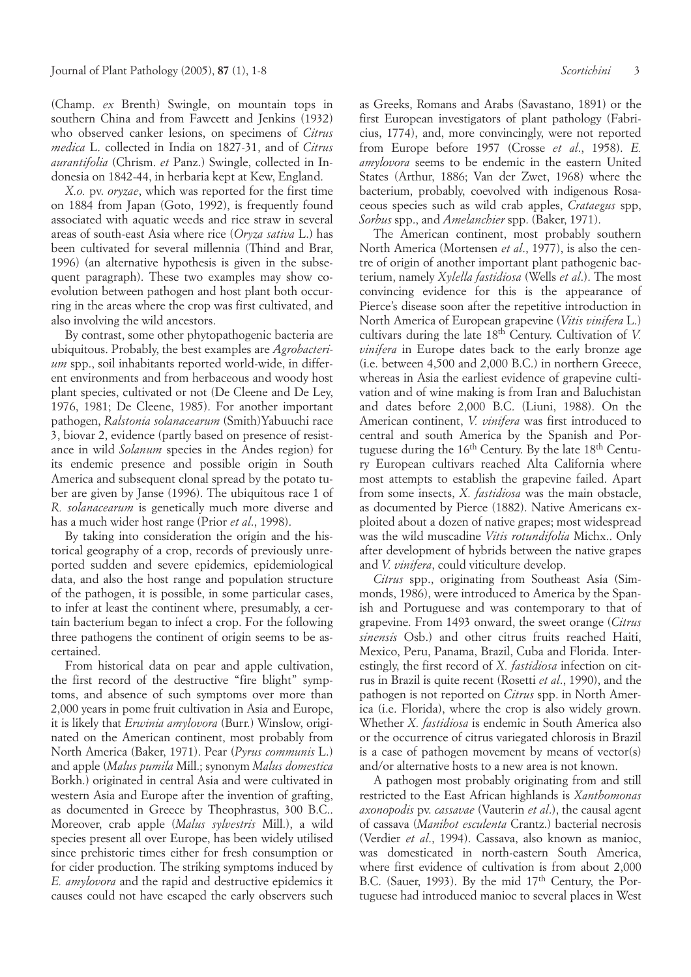(Champ. *ex* Brenth) Swingle, on mountain tops in southern China and from Fawcett and Jenkins (1932) who observed canker lesions, on specimens of *Citrus medica* L. collected in India on 1827-31, and of *Citrus aurantifolia* (Chrism. *et* Panz.) Swingle, collected in Indonesia on 1842-44, in herbaria kept at Kew, England.

*X.o.* pv. *oryzae*, which was reported for the first time on 1884 from Japan (Goto, 1992), is frequently found associated with aquatic weeds and rice straw in several areas of south-east Asia where rice (*Oryza sativa* L.) has been cultivated for several millennia (Thind and Brar, 1996) (an alternative hypothesis is given in the subsequent paragraph). These two examples may show coevolution between pathogen and host plant both occurring in the areas where the crop was first cultivated, and also involving the wild ancestors.

By contrast, some other phytopathogenic bacteria are ubiquitous. Probably, the best examples are *Agrobacterium* spp., soil inhabitants reported world-wide, in different environments and from herbaceous and woody host plant species, cultivated or not (De Cleene and De Ley, 1976, 1981; De Cleene, 1985). For another important pathogen, *Ralstonia solanacearum* (Smith)Yabuuchi race 3, biovar 2, evidence (partly based on presence of resistance in wild *Solanum* species in the Andes region) for its endemic presence and possible origin in South America and subsequent clonal spread by the potato tuber are given by Janse (1996). The ubiquitous race 1 of *R. solanacearum* is genetically much more diverse and has a much wider host range (Prior *et al*., 1998).

By taking into consideration the origin and the historical geography of a crop, records of previously unreported sudden and severe epidemics, epidemiological data, and also the host range and population structure of the pathogen, it is possible, in some particular cases, to infer at least the continent where, presumably, a certain bacterium began to infect a crop. For the following three pathogens the continent of origin seems to be ascertained.

From historical data on pear and apple cultivation, the first record of the destructive "fire blight" symptoms, and absence of such symptoms over more than 2,000 years in pome fruit cultivation in Asia and Europe, it is likely that *Erwinia amylovora* (Burr.) Winslow, originated on the American continent, most probably from North America (Baker, 1971). Pear (*Pyrus communis* L.) and apple (*Malus pumila* Mill.; synonym *Malus domestica* Borkh.) originated in central Asia and were cultivated in western Asia and Europe after the invention of grafting, as documented in Greece by Theophrastus, 300 B.C.. Moreover, crab apple (*Malus sylvestris* Mill.), a wild species present all over Europe, has been widely utilised since prehistoric times either for fresh consumption or for cider production. The striking symptoms induced by *E. amylovora* and the rapid and destructive epidemics it causes could not have escaped the early observers such as Greeks, Romans and Arabs (Savastano, 1891) or the first European investigators of plant pathology (Fabricius, 1774), and, more convincingly, were not reported from Europe before 1957 (Crosse *et al*., 1958). *E. amylovora* seems to be endemic in the eastern United States (Arthur, 1886; Van der Zwet, 1968) where the bacterium, probably, coevolved with indigenous Rosaceous species such as wild crab apples, *Crataegus* spp, *Sorbus* spp., and *Amelanchier* spp. (Baker, 1971).

The American continent, most probably southern North America (Mortensen *et al*., 1977), is also the centre of origin of another important plant pathogenic bacterium, namely *Xylella fastidiosa* (Wells *et al*.). The most convincing evidence for this is the appearance of Pierce's disease soon after the repetitive introduction in North America of European grapevine (*Vitis vinifera* L.) cultivars during the late 18th Century. Cultivation of *V. vinifera* in Europe dates back to the early bronze age (i.e. between 4,500 and 2,000 B.C.) in northern Greece, whereas in Asia the earliest evidence of grapevine cultivation and of wine making is from Iran and Baluchistan and dates before 2,000 B.C. (Liuni, 1988). On the American continent, *V. vinifera* was first introduced to central and south America by the Spanish and Portuguese during the 16<sup>th</sup> Century. By the late 18<sup>th</sup> Century European cultivars reached Alta California where most attempts to establish the grapevine failed. Apart from some insects, *X. fastidiosa* was the main obstacle, as documented by Pierce (1882). Native Americans exploited about a dozen of native grapes; most widespread was the wild muscadine *Vitis rotundifolia* Michx.. Only after development of hybrids between the native grapes and *V. vinifera*, could viticulture develop.

*Citrus* spp., originating from Southeast Asia (Simmonds, 1986), were introduced to America by the Spanish and Portuguese and was contemporary to that of grapevine. From 1493 onward, the sweet orange (*Citrus sinensis* Osb.) and other citrus fruits reached Haiti, Mexico, Peru, Panama, Brazil, Cuba and Florida. Interestingly, the first record of *X. fastidiosa* infection on citrus in Brazil is quite recent (Rosetti *et al*., 1990), and the pathogen is not reported on *Citrus* spp. in North America (i.e. Florida), where the crop is also widely grown. Whether *X. fastidiosa* is endemic in South America also or the occurrence of citrus variegated chlorosis in Brazil is a case of pathogen movement by means of vector(s) and/or alternative hosts to a new area is not known.

A pathogen most probably originating from and still restricted to the East African highlands is *Xanthomonas axonopodis* pv. *cassavae* (Vauterin *et al*.), the causal agent of cassava (*Manihot esculenta* Crantz.) bacterial necrosis (Verdier *et al*., 1994). Cassava, also known as manioc, was domesticated in north-eastern South America, where first evidence of cultivation is from about 2,000 B.C. (Sauer, 1993). By the mid 17<sup>th</sup> Century, the Portuguese had introduced manioc to several places in West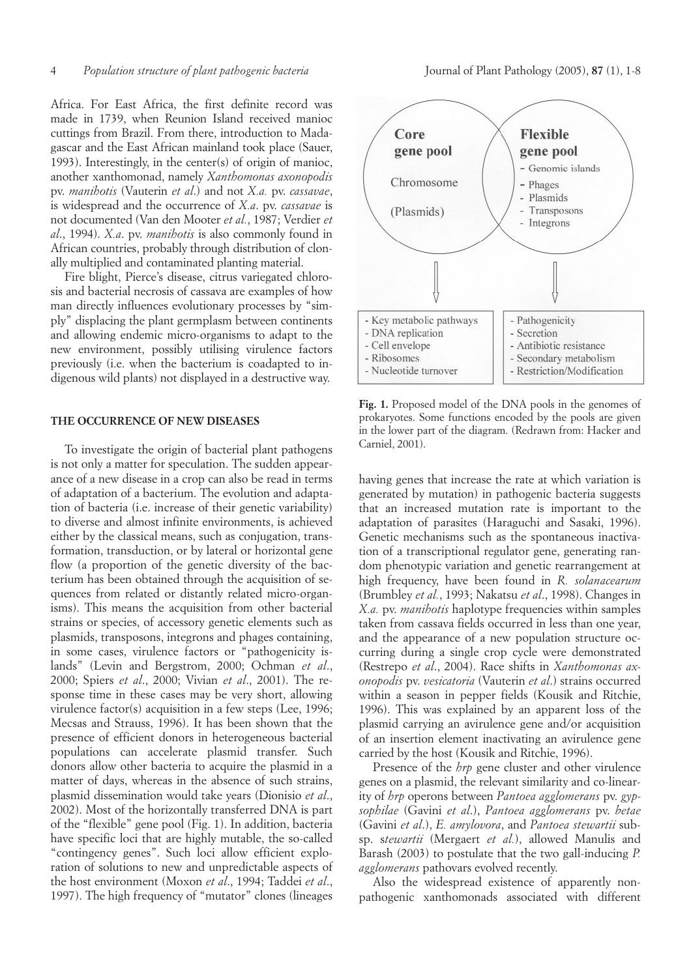Africa. For East Africa, the first definite record was made in 1739, when Reunion Island received manioc cuttings from Brazil. From there, introduction to Madagascar and the East African mainland took place (Sauer, 1993). Interestingly, in the center(s) of origin of manioc, another xanthomonad, namely *Xanthomonas axonopodis* pv. *manihotis* (Vauterin *et al*.) and not *X.a.* pv. *cassavae*, is widespread and the occurrence of *X.a*. pv. *cassavae* is not documented (Van den Mooter *et al.*, 1987; Verdier *et al*., 1994). *X.a*. pv. *manihotis* is also commonly found in African countries, probably through distribution of clonally multiplied and contaminated planting material.

Fire blight, Pierce's disease, citrus variegated chlorosis and bacterial necrosis of cassava are examples of how man directly influences evolutionary processes by "simply" displacing the plant germplasm between continents and allowing endemic micro-organisms to adapt to the new environment, possibly utilising virulence factors previously (i.e. when the bacterium is coadapted to indigenous wild plants) not displayed in a destructive way.

#### **THE OCCURRENCE OF NEW DISEASES**

To investigate the origin of bacterial plant pathogens is not only a matter for speculation. The sudden appearance of a new disease in a crop can also be read in terms of adaptation of a bacterium. The evolution and adaptation of bacteria (i.e. increase of their genetic variability) to diverse and almost infinite environments, is achieved either by the classical means, such as conjugation, transformation, transduction, or by lateral or horizontal gene flow (a proportion of the genetic diversity of the bacterium has been obtained through the acquisition of sequences from related or distantly related micro-organisms). This means the acquisition from other bacterial strains or species, of accessory genetic elements such as plasmids, transposons, integrons and phages containing, in some cases, virulence factors or "pathogenicity islands" (Levin and Bergstrom, 2000; Ochman *et al*., 2000; Spiers *et al*., 2000; Vivian *et al*., 2001). The response time in these cases may be very short, allowing virulence factor(s) acquisition in a few steps (Lee, 1996; Mecsas and Strauss, 1996). It has been shown that the presence of efficient donors in heterogeneous bacterial populations can accelerate plasmid transfer. Such donors allow other bacteria to acquire the plasmid in a matter of days, whereas in the absence of such strains, plasmid dissemination would take years (Dionisio *et al*., 2002). Most of the horizontally transferred DNA is part of the "flexible" gene pool (Fig. 1). In addition, bacteria have specific loci that are highly mutable, the so-called "contingency genes". Such loci allow efficient exploration of solutions to new and unpredictable aspects of the host environment (Moxon *et al*., 1994; Taddei *et al*., 1997). The high frequency of "mutator" clones (lineages



**Fig. 1.** Proposed model of the DNA pools in the genomes of prokaryotes. Some functions encoded by the pools are given in the lower part of the diagram. (Redrawn from: Hacker and Carniel, 2001).

having genes that increase the rate at which variation is generated by mutation) in pathogenic bacteria suggests that an increased mutation rate is important to the adaptation of parasites (Haraguchi and Sasaki, 1996). Genetic mechanisms such as the spontaneous inactivation of a transcriptional regulator gene, generating random phenotypic variation and genetic rearrangement at high frequency, have been found in *R. solanacearum* (Brumbley *et al.*, 1993; Nakatsu *et al*., 1998). Changes in *X.a.* pv. *manihotis* haplotype frequencies within samples taken from cassava fields occurred in less than one year, and the appearance of a new population structure occurring during a single crop cycle were demonstrated (Restrepo *et al*., 2004). Race shifts in *Xanthomonas axonopodis* pv. *vesicatoria* (Vauterin *et al*.) strains occurred within a season in pepper fields (Kousik and Ritchie, 1996). This was explained by an apparent loss of the plasmid carrying an avirulence gene and/or acquisition of an insertion element inactivating an avirulence gene carried by the host (Kousik and Ritchie, 1996).

Presence of the *hrp* gene cluster and other virulence genes on a plasmid, the relevant similarity and co-linearity of *hrp* operons between *Pantoea agglomerans* pv. *gypsophilae* (Gavini *et al*.), *Pantoea agglomerans* pv. *betae* (Gavini *et al*.), *E. amylovora*, and *Pantoea stewartii* subsp. s*tewartii* (Mergaert *et al.*), allowed Manulis and Barash (2003) to postulate that the two gall-inducing *P. agglomerans* pathovars evolved recently.

Also the widespread existence of apparently nonpathogenic xanthomonads associated with different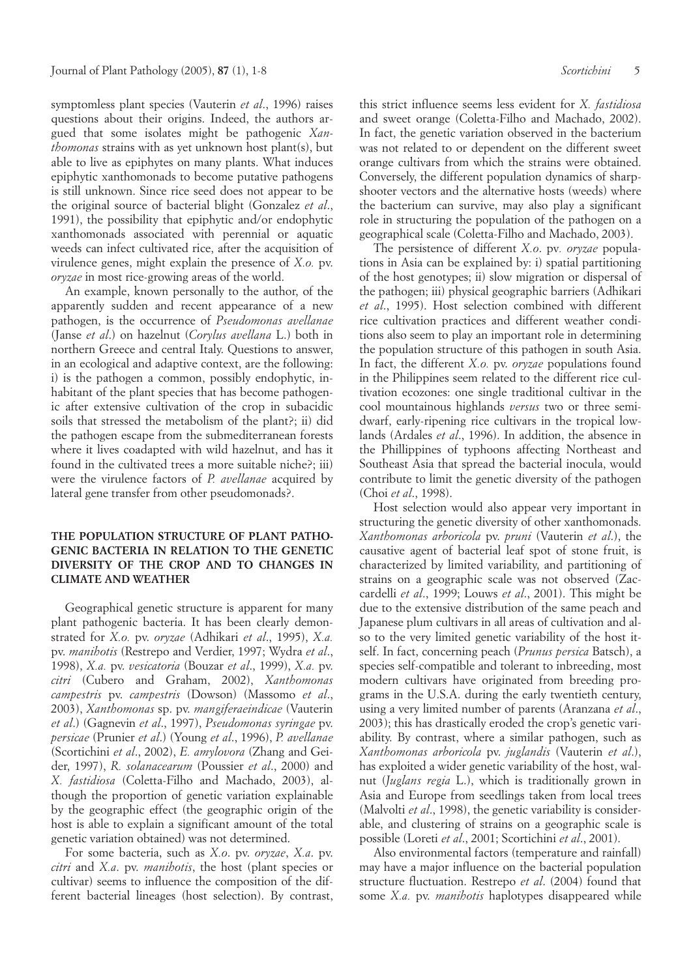symptomless plant species (Vauterin *et al*., 1996) raises questions about their origins. Indeed, the authors argued that some isolates might be pathogenic *Xanthomonas* strains with as yet unknown host plant(s), but able to live as epiphytes on many plants. What induces epiphytic xanthomonads to become putative pathogens is still unknown. Since rice seed does not appear to be the original source of bacterial blight (Gonzalez *et al*., 1991), the possibility that epiphytic and/or endophytic xanthomonads associated with perennial or aquatic weeds can infect cultivated rice, after the acquisition of virulence genes, might explain the presence of *X.o.* pv. *oryzae* in most rice-growing areas of the world.

An example, known personally to the author, of the apparently sudden and recent appearance of a new pathogen, is the occurrence of *Pseudomonas avellanae* (Janse *et al*.) on hazelnut (*Corylus avellana* L.) both in northern Greece and central Italy. Questions to answer, in an ecological and adaptive context, are the following: i) is the pathogen a common, possibly endophytic, inhabitant of the plant species that has become pathogenic after extensive cultivation of the crop in subacidic soils that stressed the metabolism of the plant?; ii) did the pathogen escape from the submediterranean forests where it lives coadapted with wild hazelnut, and has it found in the cultivated trees a more suitable niche?; iii) were the virulence factors of *P. avellanae* acquired by lateral gene transfer from other pseudomonads?.

# **THE POPULATION STRUCTURE OF PLANT PATHO-GENIC BACTERIA IN RELATION TO THE GENETIC DIVERSITY OF THE CROP AND TO CHANGES IN CLIMATE AND WEATHER**

Geographical genetic structure is apparent for many plant pathogenic bacteria. It has been clearly demonstrated for *X.o.* pv. *oryzae* (Adhikari *et al*., 1995), *X.a.* pv. *manihotis* (Restrepo and Verdier, 1997; Wydra *et al*., 1998), *X.a.* pv. *vesicatoria* (Bouzar *et al*., 1999), *X.a.* pv. *citri* (Cubero and Graham, 2002), *Xanthomonas campestris* pv. *campestris* (Dowson) (Massomo *et al*., 2003), *Xanthomonas* sp. pv. *mangiferaeindicae* (Vauterin *et al*.) (Gagnevin *et al*., 1997), *Pseudomonas syringae* pv. *persicae* (Prunier *et al*.) (Young *et al*., 1996), *P. avellanae* (Scortichini *et al*., 2002), *E. amylovora* (Zhang and Geider, 1997), *R. solanacearum* (Poussier *et al*., 2000) and *X. fastidiosa* (Coletta-Filho and Machado, 2003), although the proportion of genetic variation explainable by the geographic effect (the geographic origin of the host is able to explain a significant amount of the total genetic variation obtained) was not determined.

For some bacteria, such as *X.o*. pv. *oryzae*, *X.a*. pv. *citri* and *X.a*. pv. *manihotis*, the host (plant species or cultivar) seems to influence the composition of the different bacterial lineages (host selection). By contrast, this strict influence seems less evident for *X. fastidiosa* and sweet orange (Coletta-Filho and Machado, 2002). In fact, the genetic variation observed in the bacterium was not related to or dependent on the different sweet orange cultivars from which the strains were obtained. Conversely, the different population dynamics of sharpshooter vectors and the alternative hosts (weeds) where the bacterium can survive, may also play a significant role in structuring the population of the pathogen on a geographical scale (Coletta-Filho and Machado, 2003).

The persistence of different *X.o*. pv*. oryzae* populations in Asia can be explained by: i) spatial partitioning of the host genotypes; ii) slow migration or dispersal of the pathogen; iii) physical geographic barriers (Adhikari *et al*., 1995). Host selection combined with different rice cultivation practices and different weather conditions also seem to play an important role in determining the population structure of this pathogen in south Asia. In fact, the different *X.o.* pv. *oryzae* populations found in the Philippines seem related to the different rice cultivation ecozones: one single traditional cultivar in the cool mountainous highlands *versus* two or three semidwarf, early-ripening rice cultivars in the tropical lowlands (Ardales *et al*., 1996). In addition, the absence in the Phillippines of typhoons affecting Northeast and Southeast Asia that spread the bacterial inocula, would contribute to limit the genetic diversity of the pathogen (Choi *et al*., 1998).

Host selection would also appear very important in structuring the genetic diversity of other xanthomonads. *Xanthomonas arboricola* pv. *pruni* (Vauterin *et al*.), the causative agent of bacterial leaf spot of stone fruit, is characterized by limited variability, and partitioning of strains on a geographic scale was not observed (Zaccardelli *et al*., 1999; Louws *et al*., 2001). This might be due to the extensive distribution of the same peach and Japanese plum cultivars in all areas of cultivation and also to the very limited genetic variability of the host itself. In fact, concerning peach (*Prunus persica* Batsch), a species self-compatible and tolerant to inbreeding, most modern cultivars have originated from breeding programs in the U.S.A. during the early twentieth century, using a very limited number of parents (Aranzana *et al*., 2003); this has drastically eroded the crop's genetic variability. By contrast, where a similar pathogen, such as *Xanthomonas arboricola* pv. *juglandis* (Vauterin *et al*.), has exploited a wider genetic variability of the host, walnut (*Juglans regia* L.), which is traditionally grown in Asia and Europe from seedlings taken from local trees (Malvolti *et al*., 1998), the genetic variability is considerable, and clustering of strains on a geographic scale is possible (Loreti *et al*., 2001; Scortichini *et al*., 2001).

Also environmental factors (temperature and rainfall) may have a major influence on the bacterial population structure fluctuation. Restrepo *et al*. (2004) found that some *X.a.* pv. *manihotis* haplotypes disappeared while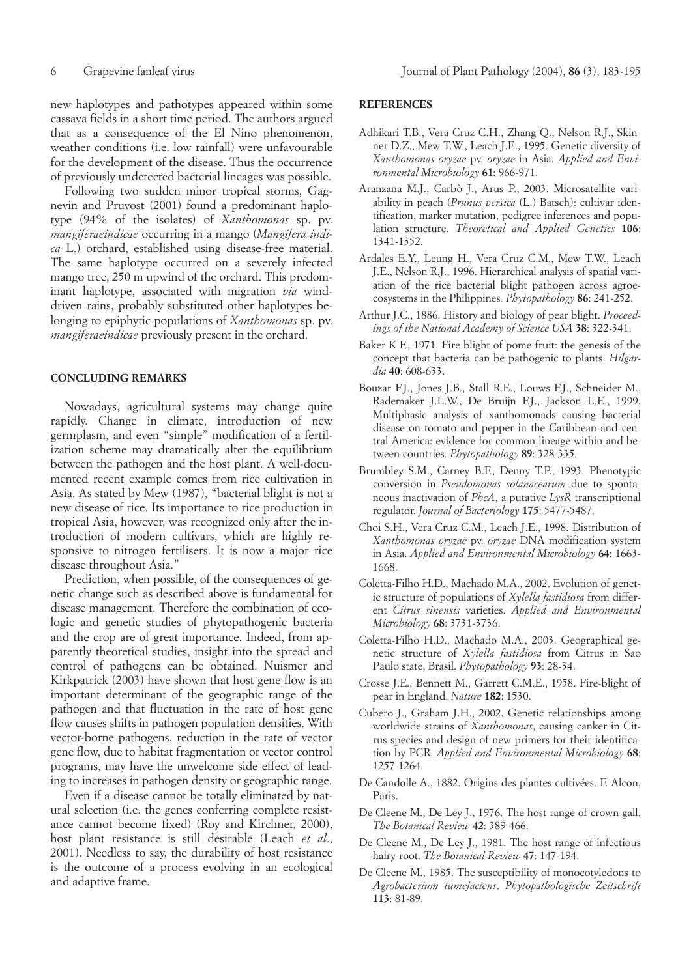new haplotypes and pathotypes appeared within some cassava fields in a short time period. The authors argued that as a consequence of the El Nino phenomenon, weather conditions (i.e. low rainfall) were unfavourable for the development of the disease. Thus the occurrence of previously undetected bacterial lineages was possible.

Following two sudden minor tropical storms, Gagnevin and Pruvost (2001) found a predominant haplotype (94% of the isolates) of *Xanthomonas* sp. pv. *mangiferaeindicae* occurring in a mango (*Mangifera indica* L.) orchard, established using disease-free material. The same haplotype occurred on a severely infected mango tree, 250 m upwind of the orchard. This predominant haplotype, associated with migration *via* winddriven rains, probably substituted other haplotypes belonging to epiphytic populations of *Xanthomonas* sp. pv. *mangiferaeindicae* previously present in the orchard.

#### **CONCLUDING REMARKS**

Nowadays, agricultural systems may change quite rapidly. Change in climate, introduction of new germplasm, and even "simple" modification of a fertilization scheme may dramatically alter the equilibrium between the pathogen and the host plant. A well-documented recent example comes from rice cultivation in Asia. As stated by Mew (1987), "bacterial blight is not a new disease of rice. Its importance to rice production in tropical Asia, however, was recognized only after the introduction of modern cultivars, which are highly responsive to nitrogen fertilisers. It is now a major rice disease throughout Asia."

Prediction, when possible, of the consequences of genetic change such as described above is fundamental for disease management. Therefore the combination of ecologic and genetic studies of phytopathogenic bacteria and the crop are of great importance. Indeed, from apparently theoretical studies, insight into the spread and control of pathogens can be obtained. Nuismer and Kirkpatrick (2003) have shown that host gene flow is an important determinant of the geographic range of the pathogen and that fluctuation in the rate of host gene flow causes shifts in pathogen population densities. With vector-borne pathogens, reduction in the rate of vector gene flow, due to habitat fragmentation or vector control programs, may have the unwelcome side effect of leading to increases in pathogen density or geographic range.

Even if a disease cannot be totally eliminated by natural selection (i.e. the genes conferring complete resistance cannot become fixed) (Roy and Kirchner, 2000), host plant resistance is still desirable (Leach *et al*., 2001). Needless to say, the durability of host resistance is the outcome of a process evolving in an ecological and adaptive frame.

#### **REFERENCES**

- Adhikari T.B., Vera Cruz C.H., Zhang Q., Nelson R.J., Skinner D.Z., Mew T.W., Leach J.E., 1995. Genetic diversity of *Xanthomonas oryzae* pv. *oryzae* in Asia. *Applied and Environmental Microbiology* **61**: 966-971.
- Aranzana M.J., Carbò J., Arus P., 2003. Microsatellite variability in peach (*Prunus persica* (L.) Batsch): cultivar identification, marker mutation, pedigree inferences and population structure. *Theoretical and Applied Genetics* **106**: 1341-1352.
- Ardales E.Y., Leung H., Vera Cruz C.M., Mew T.W., Leach J.E., Nelson R.J., 1996. Hierarchical analysis of spatial variation of the rice bacterial blight pathogen across agroecosystems in the Philippines*. Phytopathology* **86**: 241-252.
- Arthur J.C., 1886. History and biology of pear blight. *Proceedings of the National Academy of Science USA* **38**: 322-341.
- Baker K.F., 1971. Fire blight of pome fruit: the genesis of the concept that bacteria can be pathogenic to plants. *Hilgardia* **40**: 608-633.
- Bouzar F.J., Jones J.B., Stall R.E., Louws F.J., Schneider M., Rademaker J.L.W., De Bruijn F.J., Jackson L.E., 1999. Multiphasic analysis of xanthomonads causing bacterial disease on tomato and pepper in the Caribbean and central America: evidence for common lineage within and between countries*. Phytopathology* **89**: 328-335.
- Brumbley S.M., Carney B.F., Denny T.P., 1993. Phenotypic conversion in *Pseudomonas solanacearum* due to spontaneous inactivation of *PhcA*, a putative *LysR* transcriptional regulator. *Journal of Bacteriology* **175**: 5477-5487.
- Choi S.H., Vera Cruz C.M., Leach J.E., 1998. Distribution of *Xanthomonas oryzae* pv. *oryzae* DNA modification system in Asia. *Applied and Environmental Microbiology* **64**: 1663- 1668.
- Coletta-Filho H.D., Machado M.A., 2002. Evolution of genetic structure of populations of *Xylella fastidiosa* from different *Citrus sinensis* varieties. *Applied and Environmental Microbiology* **68**: 3731-3736.
- Coletta-Filho H.D., Machado M.A., 2003. Geographical genetic structure of *Xylella fastidiosa* from Citrus in Sao Paulo state, Brasil. *Phytopathology* **93**: 28-34.
- Crosse J.E., Bennett M., Garrett C.M.E., 1958. Fire-blight of pear in England. *Nature* **182**: 1530.
- Cubero J., Graham J.H., 2002. Genetic relationships among worldwide strains of *Xanthomonas*, causing canker in Citrus species and design of new primers for their identification by PCR. *Applied and Environmental Microbiology* **68**: 1257-1264.
- De Candolle A., 1882. Origins des plantes cultivées. F. Alcon, Paris.
- De Cleene M., De Ley J., 1976. The host range of crown gall. *The Botanical Review* **42**: 389-466.
- De Cleene M., De Ley J., 1981. The host range of infectious hairy-root. *The Botanical Review* **47**: 147-194.
- De Cleene M., 1985. The susceptibility of monocotyledons to *Agrobacterium tumefaciens*. *Phytopathologische Zeitschrift* **113**: 81-89.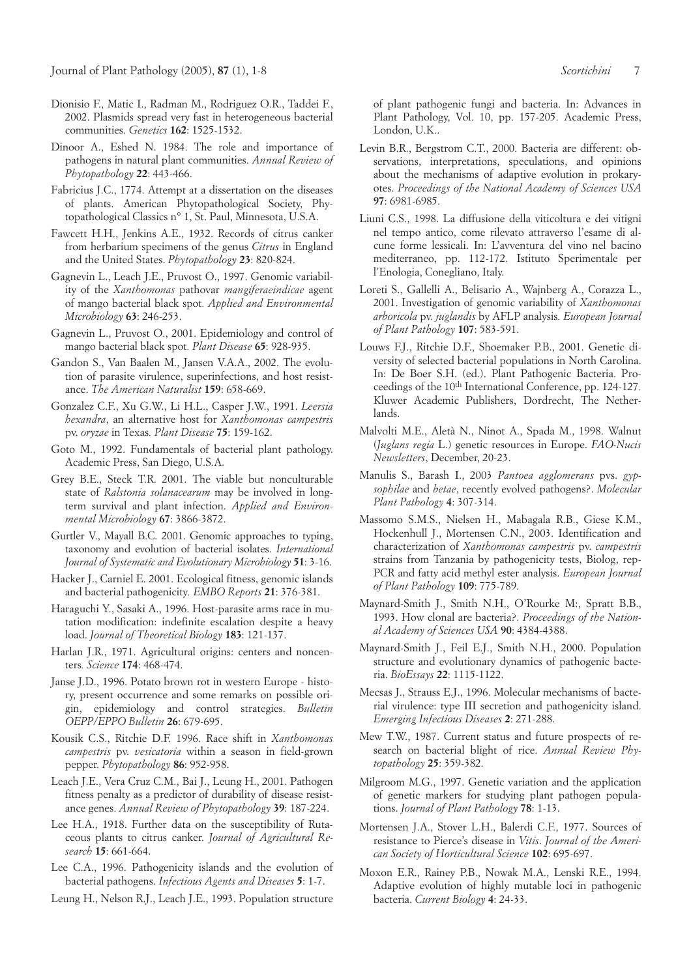- Dionisio F., Matic I., Radman M., Rodriguez O.R., Taddei F., 2002. Plasmids spread very fast in heterogeneous bacterial communities. *Genetics* **162**: 1525-1532.
- Dinoor A., Eshed N. 1984. The role and importance of pathogens in natural plant communities. *Annual Review of Phytopathology* **22**: 443-466.
- Fabricius J.C., 1774. Attempt at a dissertation on the diseases of plants. American Phytopathological Society, Phytopathological Classics n° 1, St. Paul, Minnesota, U.S.A.
- Fawcett H.H., Jenkins A.E., 1932. Records of citrus canker from herbarium specimens of the genus *Citrus* in England and the United States. *Phytopathology* **23**: 820-824.
- Gagnevin L., Leach J.E., Pruvost O., 1997. Genomic variability of the *Xanthomonas* pathovar *mangiferaeindicae* agent of mango bacterial black spot*. Applied and Environmental Microbiology* **63**: 246-253.
- Gagnevin L., Pruvost O., 2001. Epidemiology and control of mango bacterial black spot*. Plant Disease* **65**: 928-935.
- Gandon S., Van Baalen M., Jansen V.A.A., 2002. The evolution of parasite virulence, superinfections, and host resistance. *The American Naturalist* **159**: 658-669.
- Gonzalez C.F., Xu G.W., Li H.L., Casper J.W., 1991. *Leersia hexandra*, an alternative host for *Xanthomonas campestris* pv. *oryzae* in Texas*. Plant Disease* **75**: 159-162.
- Goto M., 1992. Fundamentals of bacterial plant pathology. Academic Press, San Diego, U.S.A.
- Grey B.E., Steck T.R. 2001. The viable but nonculturable state of *Ralstonia solanacearum* may be involved in longterm survival and plant infection. *Applied and Environmental Microbiology* **67**: 3866-3872.
- Gurtler V., Mayall B.C. 2001. Genomic approaches to typing, taxonomy and evolution of bacterial isolates. *International Journal of Systematic and Evolutionary Microbiology* **51**: 3-16.
- Hacker J., Carniel E. 2001. Ecological fitness, genomic islands and bacterial pathogenicity*. EMBO Reports* **21**: 376-381.
- Haraguchi Y., Sasaki A., 1996. Host-parasite arms race in mutation modification: indefinite escalation despite a heavy load. *Journal of Theoretical Biology* **183**: 121-137.
- Harlan J.R., 1971. Agricultural origins: centers and noncenters*. Science* **174**: 468-474.
- Janse J.D., 1996. Potato brown rot in western Europe history, present occurrence and some remarks on possible origin, epidemiology and control strategies. *Bulletin OEPP/EPPO Bulletin* **26**: 679-695.
- Kousik C.S., Ritchie D.F. 1996. Race shift in *Xanthomonas campestris* pv. *vesicatoria* within a season in field-grown pepper. *Phytopathology* **86**: 952-958.
- Leach J.E., Vera Cruz C.M., Bai J., Leung H., 2001. Pathogen fitness penalty as a predictor of durability of disease resistance genes. *Annual Review of Phytopathology* **39**: 187-224.
- Lee H.A., 1918. Further data on the susceptibility of Rutaceous plants to citrus canker. *Journal of Agricultural Research* **15**: 661-664.
- Lee C.A., 1996. Pathogenicity islands and the evolution of bacterial pathogens. *Infectious Agents and Diseases* **5**: 1-7.
- Leung H., Nelson R.J., Leach J.E., 1993. Population structure

of plant pathogenic fungi and bacteria. In: Advances in Plant Pathology, Vol. 10, pp. 157-205. Academic Press, London, U.K..

- Levin B.R., Bergstrom C.T., 2000. Bacteria are different: observations, interpretations, speculations, and opinions about the mechanisms of adaptive evolution in prokaryotes. *Proceedings of the National Academy of Sciences USA* **97**: 6981-6985.
- Liuni C.S., 1998. La diffusione della viticoltura e dei vitigni nel tempo antico, come rilevato attraverso l'esame di alcune forme lessicali. In: L'avventura del vino nel bacino mediterraneo, pp. 112-172. Istituto Sperimentale per l'Enologia, Conegliano, Italy.
- Loreti S., Gallelli A., Belisario A., Wajnberg A., Corazza L., 2001. Investigation of genomic variability of *Xanthomonas arboricola* pv. *juglandis* by AFLP analysis*. European Journal of Plant Pathology* **107**: 583-591.
- Louws F.J., Ritchie D.F., Shoemaker P.B., 2001. Genetic diversity of selected bacterial populations in North Carolina. In: De Boer S.H. (ed.). Plant Pathogenic Bacteria. Proceedings of the 10th International Conference, pp. 124-127*.* Kluwer Academic Publishers, Dordrecht, The Netherlands.
- Malvolti M.E., Aletà N., Ninot A., Spada M., 1998. Walnut (*Juglans regia* L.) genetic resources in Europe. *FAO-Nucis Newsletters*, December, 20-23.
- Manulis S., Barash I., 2003 *Pantoea agglomerans* pvs. *gypsophilae* and *betae*, recently evolved pathogens?. *Molecular Plant Pathology* **4**: 307-314.
- Massomo S.M.S., Nielsen H., Mabagala R.B., Giese K.M., Hockenhull J., Mortensen C.N., 2003. Identification and characterization of *Xanthomonas campestris* pv. *campestris* strains from Tanzania by pathogenicity tests, Biolog, rep-PCR and fatty acid methyl ester analysis. *European Journal of Plant Pathology* **109**: 775-789.
- Maynard-Smith J., Smith N.H., O'Rourke M:, Spratt B.B., 1993. How clonal are bacteria?. *Proceedings of the National Academy of Sciences USA* **90**: 4384-4388.
- Maynard-Smith J., Feil E.J., Smith N.H., 2000. Population structure and evolutionary dynamics of pathogenic bacteria. *BioEssays* **22**: 1115-1122.
- Mecsas J., Strauss E.J., 1996. Molecular mechanisms of bacterial virulence: type III secretion and pathogenicity island. *Emerging Infectious Diseases* **2**: 271-288.
- Mew T.W., 1987. Current status and future prospects of research on bacterial blight of rice. *Annual Review Phytopathology* **25**: 359-382.
- Milgroom M.G., 1997. Genetic variation and the application of genetic markers for studying plant pathogen populations. *Journal of Plant Pathology* **78**: 1-13.
- Mortensen J.A., Stover L.H., Balerdi C.F., 1977. Sources of resistance to Pierce's disease in *Vitis*. *Journal of the American Society of Horticultural Science* **102**: 695-697.
- Moxon E.R., Rainey P.B., Nowak M.A., Lenski R.E., 1994. Adaptive evolution of highly mutable loci in pathogenic bacteria. *Current Biology* **4**: 24-33.